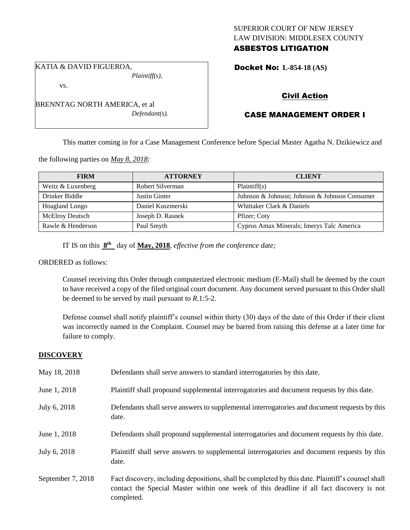## SUPERIOR COURT OF NEW JERSEY LAW DIVISION: MIDDLESEX COUNTY ASBESTOS LITIGATION

KATIA & DAVID FIGUEROA, *Plaintiff(s),*

vs.

BRENNTAG NORTH AMERICA, et al *Defendant(s).* Docket No: **L-854-18 (AS)** 

# Civil Action

# CASE MANAGEMENT ORDER I

This matter coming in for a Case Management Conference before Special Master Agatha N. Dzikiewicz and

the following parties on *May 8, 2018:*

| <b>FIRM</b>            | <b>ATTORNEY</b>   | <b>CLIENT</b>                                 |
|------------------------|-------------------|-----------------------------------------------|
| Weitz & Luxenberg      | Robert Silverman  | Plaintiff(s)                                  |
| Drinker Biddle         | Justin Ginter     | Johnson & Johnson; Johnson & Johnson Consumer |
| <b>Hoagland Longo</b>  | Daniel Kuszmerski | Whittaker Clark & Daniels                     |
| <b>McElroy Deutsch</b> | Joseph D. Rasnek  | Pfizer; Coty                                  |
| Rawle & Henderson      | Paul Smyth        | Cyprus Amax Minerals; Imerys Talc America     |

IT IS on this  $8<sup>th</sup>$  day of May, 2018, *effective from the conference date*;

ORDERED as follows:

Counsel receiving this Order through computerized electronic medium (E-Mail) shall be deemed by the court to have received a copy of the filed original court document. Any document served pursuant to this Order shall be deemed to be served by mail pursuant to *R*.1:5-2.

Defense counsel shall notify plaintiff's counsel within thirty (30) days of the date of this Order if their client was incorrectly named in the Complaint. Counsel may be barred from raising this defense at a later time for failure to comply.

## **DISCOVERY**

| May 18, 2018      | Defendants shall serve answers to standard interrogatories by this date.                                                                                                                                    |
|-------------------|-------------------------------------------------------------------------------------------------------------------------------------------------------------------------------------------------------------|
| June 1, 2018      | Plaintiff shall propound supplemental interrogatories and document requests by this date.                                                                                                                   |
| July 6, 2018      | Defendants shall serve answers to supplemental interrogatories and document requests by this<br>date.                                                                                                       |
| June 1, 2018      | Defendants shall propound supplemental interrogatories and document requests by this date.                                                                                                                  |
| July 6, 2018      | Plaintiff shall serve answers to supplemental interrogatories and document requests by this<br>date.                                                                                                        |
| September 7, 2018 | Fact discovery, including depositions, shall be completed by this date. Plaintiff's counsel shall<br>contact the Special Master within one week of this deadline if all fact discovery is not<br>completed. |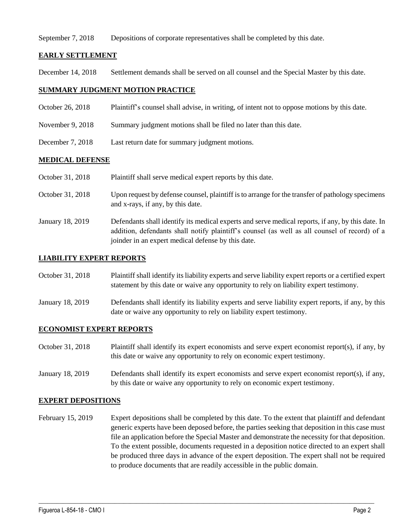### September 7, 2018 Depositions of corporate representatives shall be completed by this date.

### **EARLY SETTLEMENT**

December 14, 2018 Settlement demands shall be served on all counsel and the Special Master by this date.

## **SUMMARY JUDGMENT MOTION PRACTICE**

- October 26, 2018 Plaintiff's counsel shall advise, in writing, of intent not to oppose motions by this date.
- November 9, 2018 Summary judgment motions shall be filed no later than this date.
- December 7, 2018 Last return date for summary judgment motions.

## **MEDICAL DEFENSE**

| Plaintiff shall serve medical expert reports by this date. |  |  | October 31, 2018 |
|------------------------------------------------------------|--|--|------------------|
|------------------------------------------------------------|--|--|------------------|

- October 31, 2018 Upon request by defense counsel, plaintiff is to arrange for the transfer of pathology specimens and x-rays, if any, by this date.
- January 18, 2019 Defendants shall identify its medical experts and serve medical reports, if any, by this date. In addition, defendants shall notify plaintiff's counsel (as well as all counsel of record) of a joinder in an expert medical defense by this date.

### **LIABILITY EXPERT REPORTS**

| October 31, 2018 | Plaintiff shall identify its liability experts and serve liability expert reports or a certified expert |
|------------------|---------------------------------------------------------------------------------------------------------|
|                  | statement by this date or waive any opportunity to rely on liability expert testimony.                  |

January 18, 2019 Defendants shall identify its liability experts and serve liability expert reports, if any, by this date or waive any opportunity to rely on liability expert testimony.

### **ECONOMIST EXPERT REPORTS**

- October 31, 2018 Plaintiff shall identify its expert economists and serve expert economist report(s), if any, by this date or waive any opportunity to rely on economic expert testimony.
- January 18, 2019 Defendants shall identify its expert economists and serve expert economist report(s), if any, by this date or waive any opportunity to rely on economic expert testimony.

### **EXPERT DEPOSITIONS**

February 15, 2019 Expert depositions shall be completed by this date. To the extent that plaintiff and defendant generic experts have been deposed before, the parties seeking that deposition in this case must file an application before the Special Master and demonstrate the necessity for that deposition. To the extent possible, documents requested in a deposition notice directed to an expert shall be produced three days in advance of the expert deposition. The expert shall not be required to produce documents that are readily accessible in the public domain.

 $\_$  ,  $\_$  ,  $\_$  ,  $\_$  ,  $\_$  ,  $\_$  ,  $\_$  ,  $\_$  ,  $\_$  ,  $\_$  ,  $\_$  ,  $\_$  ,  $\_$  ,  $\_$  ,  $\_$  ,  $\_$  ,  $\_$  ,  $\_$  ,  $\_$  ,  $\_$  ,  $\_$  ,  $\_$  ,  $\_$  ,  $\_$  ,  $\_$  ,  $\_$  ,  $\_$  ,  $\_$  ,  $\_$  ,  $\_$  ,  $\_$  ,  $\_$  ,  $\_$  ,  $\_$  ,  $\_$  ,  $\_$  ,  $\_$  ,